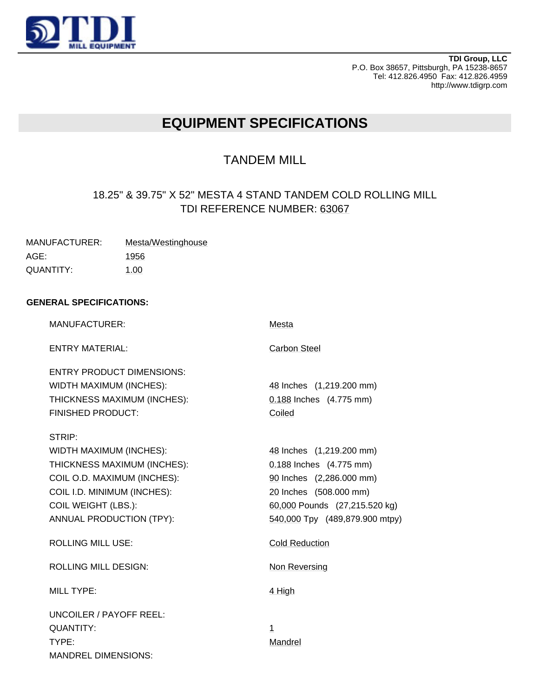

**TDI Group, LLC** P.O. Box 38657, Pittsburgh, PA 15238-8657 Tel: 412.826.4950 Fax: 412.826.4959 http://www.tdigrp.com

# **EQUIPMENT SPECIFICATIONS**

## TANDEM MILL

## 18.25" & 39.75" X 52" MESTA 4 STAND TANDEM COLD ROLLING MILL TDI REFERENCE NUMBER: 63067

| MANUFACTURER: | Mesta/Westinghouse |
|---------------|--------------------|
| AGE:          | 1956               |
| QUANTITY:     | 1.00               |

### **GENERAL SPECIFICATIONS:**

| <b>MANUFACTURER:</b>                                                                                                                                                                     | Mesta                                                                                                                                                                        |
|------------------------------------------------------------------------------------------------------------------------------------------------------------------------------------------|------------------------------------------------------------------------------------------------------------------------------------------------------------------------------|
| <b>ENTRY MATERIAL:</b>                                                                                                                                                                   | <b>Carbon Steel</b>                                                                                                                                                          |
| <b>ENTRY PRODUCT DIMENSIONS:</b><br>WIDTH MAXIMUM (INCHES):<br>THICKNESS MAXIMUM (INCHES):<br><b>FINISHED PRODUCT:</b>                                                                   | 48 Inches (1,219.200 mm)<br>0.188 Inches (4.775 mm)<br>Coiled                                                                                                                |
| STRIP:<br>WIDTH MAXIMUM (INCHES):<br>THICKNESS MAXIMUM (INCHES):<br>COIL O.D. MAXIMUM (INCHES):<br>COIL I.D. MINIMUM (INCHES):<br><b>COIL WEIGHT (LBS.):</b><br>ANNUAL PRODUCTION (TPY): | 48 Inches (1,219.200 mm)<br>0.188 Inches (4.775 mm)<br>90 Inches (2,286.000 mm)<br>20 Inches (508.000 mm)<br>60,000 Pounds (27,215.520 kg)<br>540,000 Tpy (489,879.900 mtpy) |
| <b>ROLLING MILL USE:</b>                                                                                                                                                                 | <b>Cold Reduction</b>                                                                                                                                                        |
| <b>ROLLING MILL DESIGN:</b>                                                                                                                                                              | Non Reversing                                                                                                                                                                |
| <b>MILL TYPE:</b>                                                                                                                                                                        | 4 High                                                                                                                                                                       |
| UNCOILER / PAYOFF REEL:<br><b>QUANTITY:</b><br>TYPE:<br><b>MANDREL DIMENSIONS:</b>                                                                                                       | $\mathbf 1$<br>Mandrel                                                                                                                                                       |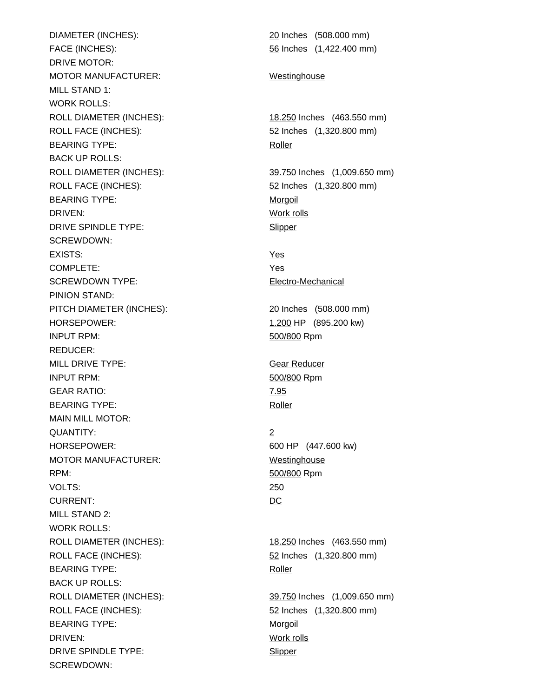DIAMETER (INCHES): 20 Inches (508.000 mm) FACE (INCHES): 56 Inches (1,422.400 mm) DRIVE MOTOR: MOTOR MANUFACTURER: Westinghouse MILL STAND 1: WORK ROLLS: ROLL DIAMETER (INCHES): 18.250 Inches (463.550 mm) ROLL FACE (INCHES): 52 Inches (1,320.800 mm) BEARING TYPE: Roller BACK UP ROLLS: ROLL DIAMETER (INCHES): 39.750 Inches (1,009.650 mm) ROLL FACE (INCHES): 52 Inches (1,320.800 mm) BEARING TYPE: Morgoil DRIVEN: Work rolls DRIVE SPINDLE TYPE: Slipper SCREWDOWN: EXISTS: Yes COMPLETE: Yes SCREWDOWN TYPE: Electro-Mechanical PINION STAND: PITCH DIAMETER (INCHES): 20 Inches (508.000 mm) HORSEPOWER: 1,200 HP (895.200 kw) INPUT RPM: 500/800 Rpm REDUCER: MILL DRIVE TYPE: Gear Reducer INPUT RPM: 500/800 Rpm GEAR RATIO: 7.95 BEARING TYPE: Roller MAIN MILL MOTOR: QUANTITY: 2 HORSEPOWER: 600 HP (447.600 kw) MOTOR MANUFACTURER: Westinghouse RPM: 500/800 Rpm VOLTS: 250 CURRENT: DC MILL STAND 2: WORK ROLLS: ROLL DIAMETER (INCHES): 18.250 Inches (463.550 mm) ROLL FACE (INCHES): 52 Inches (1,320.800 mm) BEARING TYPE: Roller BACK UP ROLLS: ROLL DIAMETER (INCHES): 39.750 Inches (1,009.650 mm) ROLL FACE (INCHES): 52 Inches (1,320.800 mm) BEARING TYPE: Morgoil DRIVEN: Work rolls DRIVE SPINDLE TYPE: Slipper SCREWDOWN: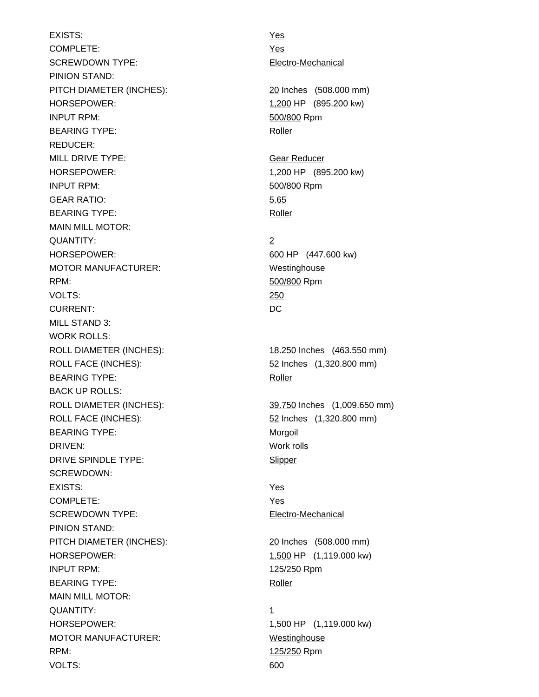EXISTS: Yes COMPLETE: Yes SCREWDOWN TYPE: Electro-Mechanical PINION STAND: PITCH DIAMETER (INCHES): 20 Inches (508.000 mm) HORSEPOWER: 1,200 HP (895.200 kw) INPUT RPM: 500/800 Rpm BEARING TYPE: Roller REDUCER: MILL DRIVE TYPE: Gear Reducer HORSEPOWER: 1,200 HP (895.200 kw) INPUT RPM: 500/800 Rpm GEAR RATIO: 5.65 BEARING TYPE: Roller MAIN MILL MOTOR: QUANTITY: 2 HORSEPOWER: 600 HP (447.600 kw) MOTOR MANUFACTURER: Westinghouse RPM: 500/800 Rpm VOLTS: 250 CURRENT: DC MILL STAND 3: WORK ROLLS: ROLL DIAMETER (INCHES): 18.250 Inches (463.550 mm) ROLL FACE (INCHES): 52 Inches (1,320.800 mm) BEARING TYPE: Roller BACK UP ROLLS: ROLL DIAMETER (INCHES): 39.750 Inches (1,009.650 mm) ROLL FACE (INCHES): 52 Inches (1,320.800 mm) BEARING TYPE: Morgoil DRIVEN: Work rolls DRIVE SPINDLE TYPE: Slipper SCREWDOWN: EXISTS: Yes COMPLETE: Yes SCREWDOWN TYPE: Electro-Mechanical PINION STAND: PITCH DIAMETER (INCHES): 20 Inches (508.000 mm) HORSEPOWER: 1,500 HP (1,119.000 kw) INPUT RPM: 125/250 Rpm BEARING TYPE: Roller MAIN MILL MOTOR: QUANTITY: 1 HORSEPOWER: 1,500 HP (1,119.000 kw) MOTOR MANUFACTURER: Westinghouse RPM: 125/250 Rpm VOLTS: 600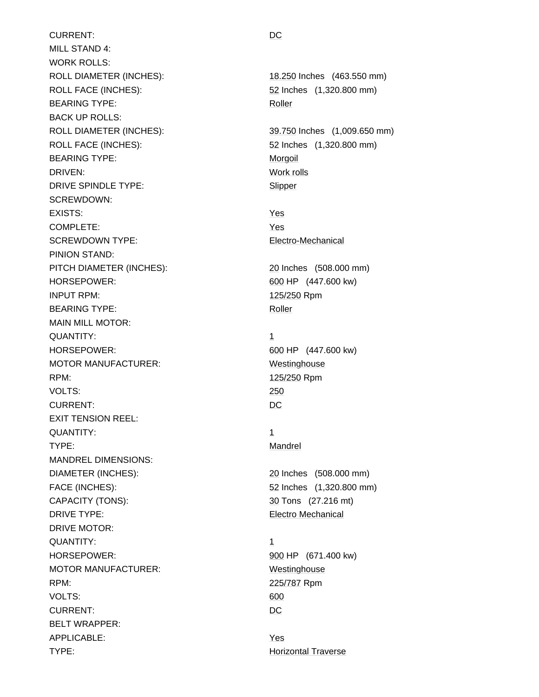CURRENT: DC MILL STAND 4: WORK ROLLS: ROLL DIAMETER (INCHES): 18.250 Inches (463.550 mm) ROLL FACE (INCHES): 52 Inches (1,320.800 mm) BEARING TYPE: Roller BACK UP ROLLS: ROLL DIAMETER (INCHES): 39.750 Inches (1,009.650 mm) ROLL FACE (INCHES): 52 Inches (1,320.800 mm) BEARING TYPE: Morgoil DRIVEN: Work rolls DRIVE SPINDLE TYPE: Slipper SCREWDOWN: EXISTS: Yes COMPLETE: Yes SCREWDOWN TYPE: Electro-Mechanical PINION STAND: PITCH DIAMETER (INCHES): 20 Inches (508.000 mm) HORSEPOWER: 600 HP (447.600 kw) INPUT RPM: 125/250 Rpm BEARING TYPE: Roller MAIN MILL MOTOR: QUANTITY: 1 HORSEPOWER: 600 HP (447.600 kw) MOTOR MANUFACTURER: Westinghouse RPM: 125/250 Rpm VOLTS: 250 CURRENT: DC EXIT TENSION REEL: QUANTITY: 1 TYPE: Mandrel MANDREL DIMENSIONS: DIAMETER (INCHES): 20 Inches (508.000 mm) FACE (INCHES): 52 Inches (1,320.800 mm) CAPACITY (TONS): 30 Tons (27.216 mt) DRIVE TYPE: Electro Mechanical DRIVE MOTOR: QUANTITY: 1 HORSEPOWER: 900 HP (671.400 kw) MOTOR MANUFACTURER: Westinghouse RPM: 225/787 Rpm VOLTS: 600 CURRENT: DC BELT WRAPPER: APPLICABLE: Yes TYPE: Horizontal Traverse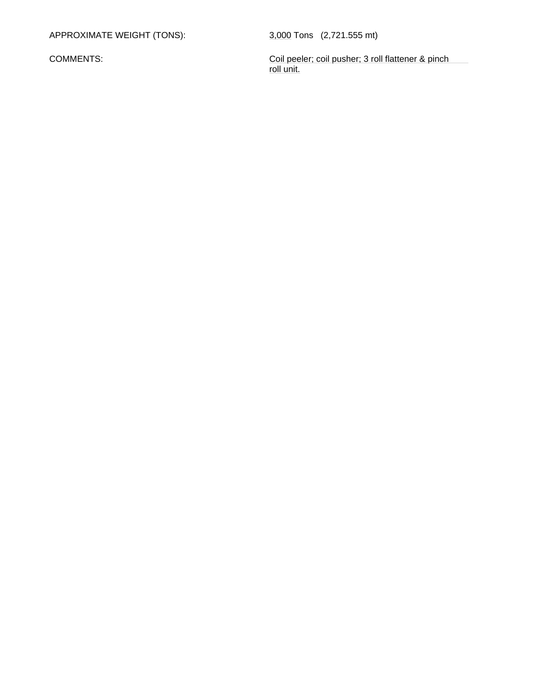APPROXIMATE WEIGHT (TONS): 3,000 Tons (2,721.555 mt)

 COMMENTS: Coil peeler; coil pusher; 3 roll flattener & pinch roll unit.